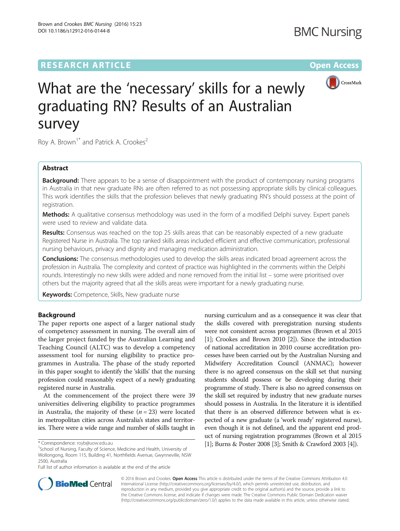## **RESEARCH ARTICLE Example 2014 12:30 The Contract of Contract ACCESS**



# What are the 'necessary' skills for a newly graduating RN? Results of an Australian survey

Roy A. Brown<sup>1\*</sup> and Patrick A. Crookes<sup>2</sup>

### Abstract

**Background:** There appears to be a sense of disappointment with the product of contemporary nursing programs in Australia in that new graduate RNs are often referred to as not possessing appropriate skills by clinical colleagues. This work identifies the skills that the profession believes that newly graduating RN's should possess at the point of registration.

Methods: A qualitative consensus methodology was used in the form of a modified Delphi survey. Expert panels were used to review and validate data.

Results: Consensus was reached on the top 25 skills areas that can be reasonably expected of a new graduate Registered Nurse in Australia. The top ranked skills areas included efficient and effective communication, professional nursing behaviours, privacy and dignity and managing medication administration.

Conclusions: The consensus methodologies used to develop the skills areas indicated broad agreement across the profession in Australia. The complexity and context of practice was highlighted in the comments within the Delphi rounds. Interestingly no new skills were added and none removed from the initial list – some were prioritised over others but the majority agreed that all the skills areas were important for a newly graduating nurse.

Keywords: Competence, Skills, New graduate nurse

#### Background

The paper reports one aspect of a larger national study of competency assessment in nursing. The overall aim of the larger project funded by the Australian Learning and Teaching Council (ALTC) was to develop a competency assessment tool for nursing eligibility to practice programmes in Australia. The phase of the study reported in this paper sought to identify the 'skills' that the nursing profession could reasonably expect of a newly graduating registered nurse in Australia.

At the commencement of the project there were 39 universities delivering eligibility to practice programmes in Australia, the majority of these  $(n = 23)$  were located in metropolitan cities across Australia's states and territories. There were a wide range and number of skills taught in

<sup>1</sup>School of Nursing, Faculty of Science, Medicine and Health, University of Wollongong, Room 115, Building 41, Northfields Avenue, Gwynneville, NSW 2500, Australia

Full list of author information is available at the end of the article

nursing curriculum and as a consequence it was clear that the skills covered with preregistration nursing students were not consistent across programmes (Brown et al 2015 [[1](#page-6-0)]; Crookes and Brown 2010 [[2](#page-6-0)]). Since the introduction of national accreditation in 2010 course accreditation processes have been carried out by the Australian Nursing and Midwifery Accreditation Council (ANMAC); however there is no agreed consensus on the skill set that nursing students should possess or be developing during their programme of study. There is also no agreed consensus on the skill set required by industry that new graduate nurses should possess in Australia. In the literature it is identified that there is an observed difference between what is expected of a new graduate (a 'work ready' registered nurse), even though it is not defined, and the apparent end product of nursing registration programmes (Brown et al 2015 \* Correspondence: royb@uow.edu.au [1](#page-6-0)1; Burns & Poster 2008 [[3\]](#page-6-0); Smith & Crawford 2003 [[4](#page-6-0)]).



© 2016 Brown and Crookes. Open Access This article is distributed under the terms of the Creative Commons Attribution 4.0 International License [\(http://creativecommons.org/licenses/by/4.0/](http://creativecommons.org/licenses/by/4.0/)), which permits unrestricted use, distribution, and reproduction in any medium, provided you give appropriate credit to the original author(s) and the source, provide a link to the Creative Commons license, and indicate if changes were made. The Creative Commons Public Domain Dedication waiver [\(http://creativecommons.org/publicdomain/zero/1.0/](http://creativecommons.org/publicdomain/zero/1.0/)) applies to the data made available in this article, unless otherwise stated.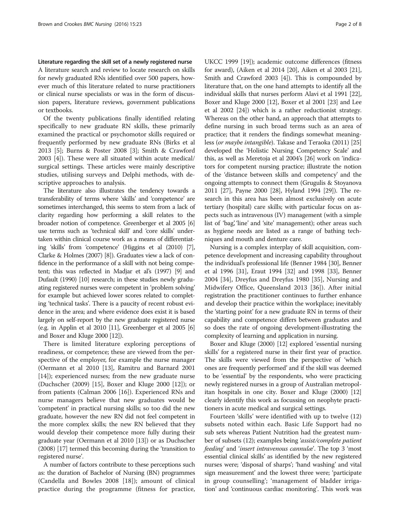#### Literature regarding the skill set of a newly registered nurse A literature search and review to locate research on skills for newly graduated RNs identified over 500 papers, however much of this literature related to nurse practitioners or clinical nurse specialists or was in the form of discussion papers, literature reviews, government publications or textbooks.

Of the twenty publications finally identified relating specifically to new graduate RN skills, these primarily examined the practical or psychomotor skills required or frequently performed by new graduate RNs (Birks et al 2013 [\[5\]](#page-6-0); Burns & Poster 2008 [[3\]](#page-6-0); Smith & Crawford 2003 [\[4](#page-6-0)]). These were all situated within acute medical/ surgical settings. These articles were mainly descriptive studies, utilising surveys and Delphi methods, with descriptive approaches to analysis.

The literature also illustrates the tendency towards a transferability of terms where 'skills' and 'competence' are sometimes interchanged, this seems to stem from a lack of clarity regarding how performing a skill relates to the broader notion of competence. Greenberger et al 2005 [[6](#page-7-0)] use terms such as 'technical skill' and 'core skills' undertaken within clinical course work as a means of differentiating 'skills' from 'competence' (Higgins et al (2010) [[7](#page-7-0)], Clarke & Holmes (2007) [[8](#page-7-0)]). Graduates view a lack of confidence in the performance of a skill with not being competent; this was reflected in Madjar et al's (1997) [\[9\]](#page-7-0) and Dufault (1990) [[10](#page-7-0)] research; in these studies newly graduating registered nurses were competent in 'problem solving' for example but achieved lower scores related to completing 'technical tasks'. There is a paucity of recent robust evidence in the area; and where evidence does exist it is based largely on self-report by the new graduate registered nurse (e.g. in Applin et al 2010 [\[11](#page-7-0)], Greenberger et al 2005 [[6](#page-7-0)] and Boxer and Kluge 2000 [\[12\]](#page-7-0)).

There is limited literature exploring perceptions of readiness, or competence; these are viewed from the perspective of the employer, for example the nurse manager (Oermann et al 2010 [\[13](#page-7-0)], Ramitru and Barnard 2001 [[14\]](#page-7-0)); experienced nurses; from the new graduate nurse (Duchscher (2009) [\[15](#page-7-0)], Boxer and Kluge 2000 [[12](#page-7-0)]); or from patients (Calman 2006 [[16\]](#page-7-0)). Experienced RNs and nurse managers believe that new graduates would be 'competent' in practical nursing skills; so too did the new graduate, however the new RN did not feel competent in the more complex skills; the new RN believed that they would develop their competence more fully during their graduate year (Oermann et al 2010 [\[13\]](#page-7-0)) or as Duchscher (2008) [\[17\]](#page-7-0) termed this becoming during the 'transition to registered nurse'.

A number of factors contribute to these perceptions such as: the duration of Bachelor of Nursing (BN) programmes (Candella and Bowles 2008 [[18\]](#page-7-0)); amount of clinical practice during the programme (fitness for practice, UKCC 1999 [\[19](#page-7-0)]); academic outcome differences (fitness for award), (Aiken et al 2014 [\[20](#page-7-0)], Aiken et al 2003 [[21](#page-7-0)], Smith and Crawford 2003 [\[4](#page-6-0)]). This is compounded by literature that, on the one hand attempts to identify all the individual skills that nurses perform Alavi et al 1991 [[22](#page-7-0)], Boxer and Kluge 2000 [[12](#page-7-0)], Boxer et al 2001 [[23](#page-7-0)] and Lee et al 2002 [\[24\]](#page-7-0)) which is a rather reductionist strategy. Whereas on the other hand, an approach that attempts to define nursing in such broad terms such as an area of practice; that it renders the findings somewhat meaningless (or maybe intangible). Takase and Teraoka (2011) [[25](#page-7-0)] developed the 'Holistic Nursing Competency Scale' and this, as well as Meretoja et al 2004's [\[26](#page-7-0)] work on 'indicators for competent nursing practice; illustrate the notion of the 'distance between skills and competency' and the ongoing attempts to connect them (Grugulis & Stoyanova 2011 [\[27](#page-7-0)], Payne 2000 [\[28\]](#page-7-0), Hyland 1994 [[29](#page-7-0)]). The research in this area has been almost exclusively on acute tertiary (hospital) care skills; with particular focus on aspects such as intravenous (IV) management (with a simple list of 'bag', 'line' and 'site' management); other areas such as hygiene needs are listed as a range of bathing techniques and mouth and denture care.

Nursing is a complex interplay of skill acquisition, competence development and increasing capability throughout the individual's professional life (Benner 1984 [\[30\]](#page-7-0), Benner et al 1996 [[31](#page-7-0)], Eraut 1994 [\[32\]](#page-7-0) and 1998 [[33](#page-7-0)], Benner 2004 [\[34](#page-7-0)], Dreyfus and Dreyfus 1980 [\[35](#page-7-0)], Nursing and Midwifery Office, Queensland 2013 [[36](#page-7-0)]). After initial registration the practitioner continues to further enhance and develop their practice within the workplace; inevitably the 'starting point' for a new graduate RN in terms of their capability and competence differs between graduates and so does the rate of ongoing development-illustrating the complexity of learning and application in nursing.

Boxer and Kluge (2000) [[12](#page-7-0)] explored 'essential nursing skills' for a registered nurse in their first year of practice. The skills were viewed from the perspective of 'which ones are frequently performed' and if the skill was deemed to be 'essential' by the respondents, who were practicing newly registered nurses in a group of Australian metropolitan hospitals in one city. Boxer and Kluge (2000) [[12](#page-7-0)] clearly identify this work as focussing on neophyte practitioners in acute medical and surgical settings.

Fourteen 'skills' were identified with up to twelve (12) subsets noted within each. Basic Life Support had no sub sets whereas Patient Nutrition had the greatest number of subsets (12); examples being 'assist/complete patient feeding' and 'insert intravenous cannulæ'. The top 3 'most essential clinical skills' as identified by the new registered nurses were; 'disposal of sharps'; 'hand washing' and vital sign measurement' and the lowest three were; 'participate in group counselling'; 'management of bladder irrigation' and 'continuous cardiac monitoring'. This work was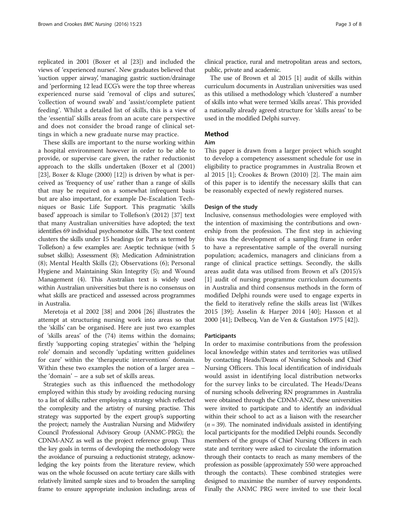replicated in 2001 (Boxer et al [\[23](#page-7-0)]) and included the views of 'experienced nurses'. New graduates believed that 'suction upper airway', 'managing gastric suction/drainage and 'performing 12 lead ECG's were the top three whereas experienced nurse said 'removal of clips and sutures', 'collection of wound swab' and 'assist/complete patient feeding'. Whilst a detailed list of skills, this is a view of the 'essential' skills areas from an acute care perspective and does not consider the broad range of clinical settings in which a new graduate nurse may practice.

These skills are important to the nurse working within a hospital environment however in order to be able to provide, or supervise care given, the rather reductionist approach to the skills undertaken (Boxer et al (2001) [[23\]](#page-7-0), Boxer & Kluge (2000) [[12\]](#page-7-0)) is driven by what is perceived as 'frequency of use' rather than a range of skills that may be required on a somewhat infrequent basis but are also important, for example De-Escalation Techniques or Basic Life Support. This pragmatic 'skills based' approach is similar to Tollefson's (2012) [[37](#page-7-0)] text that many Australian universities have adopted; the text identifies 69 individual psychomotor skills. The text content clusters the skills under 15 headings (or Parts as termed by Tollefson) a few examples are: Aseptic technique (with 5 subset skills); Assessment (8); Medication Administration (8); Mental Health Skills (2); Observations (6); Personal Hygiene and Maintaining Skin Integrity (5); and Wound Management (4). This Australian text is widely used within Australian universities but there is no consensus on what skills are practiced and assessed across programmes in Australia.

Meretoja et al 2002 [[38](#page-7-0)] and 2004 [\[26](#page-7-0)] illustrates the attempt at structuring nursing work into areas so that the 'skills' can be organised. Here are just two examples of 'skills areas' of the (74) items within the domains; firstly 'supporting coping strategies' within the 'helping role' domain and secondly 'updating written guidelines for care' within the 'therapeutic interventions' domain. Within these two examples the notion of a larger area – the 'domain' – are a sub set of skills areas.

Strategies such as this influenced the methodology employed within this study by avoiding reducing nursing to a list of skills; rather employing a strategy which reflected the complexity and the artistry of nursing practise. This strategy was supported by the expert group's supporting the project; namely the Australian Nursing and Midwifery Council Professional Advisory Group (ANMC-PRG); the CDNM-ANZ as well as the project reference group. Thus the key goals in terms of developing the methodology were the avoidance of pursuing a reductionist strategy, acknowledging the key points from the literature review, which was on the whole focussed on acute tertiary care skills with relatively limited sample sizes and to broaden the sampling frame to ensure appropriate inclusion including; areas of clinical practice, rural and metropolitan areas and sectors, public, private and academic.

The use of Brown et al 2015 [\[1](#page-6-0)] audit of skills within curriculum documents in Australian universities was used as this utilised a methodology which 'clustered' a number of skills into what were termed 'skills areas'. This provided a nationally already agreed structure for 'skills areas' to be used in the modified Delphi survey.

#### Method

#### Aim

This paper is drawn from a larger project which sought to develop a competency assessment schedule for use in eligibility to practice programmes in Australia Brown et al 2015 [\[1](#page-6-0)]; Crookes & Brown (2010) [[2\]](#page-6-0). The main aim of this paper is to identify the necessary skills that can be reasonably expected of newly registered nurses.

#### Design of the study

Inclusive, consensus methodologies were employed with the intention of maximising the contributions and ownership from the profession. The first step in achieving this was the development of a sampling frame in order to have a representative sample of the overall nursing population; academics, managers and clinicians from a range of clinical practice settings. Secondly, the skills areas audit data was utilised from Brown et al's (2015)'s [[1\]](#page-6-0) audit of nursing programme curriculum documents in Australia and third consensus methods in the form of modified Delphi rounds were used to engage experts in the field to iteratively refine the skills areas list (Wilkes 2015 [[39\]](#page-7-0); Asselin & Harper 2014 [[40\]](#page-7-0); Hasson et al 2000 [\[41](#page-7-0)]; Delbecq, Van de Ven & Gustafson 1975 [[42\]](#page-7-0)).

#### **Participants**

In order to maximise contributions from the profession local knowledge within states and territories was utilised by contacting Heads/Deans of Nursing Schools and Chief Nursing Officers. This local identification of individuals would assist in identifying local distribution networks for the survey links to be circulated. The Heads/Deans of nursing schools delivering RN programmes in Australia were obtained through the CDNM-ANZ, these universities were invited to participate and to identify an individual within their school to act as a liaison with the researcher  $(n = 39)$ . The nominated individuals assisted in identifying local participants for the modified Delphi rounds. Secondly members of the groups of Chief Nursing Officers in each state and territory were asked to circulate the information through their contacts to reach as many members of the profession as possible (approximately 550 were approached through the contacts). These combined strategies were designed to maximise the number of survey respondents. Finally the ANMC PRG were invited to use their local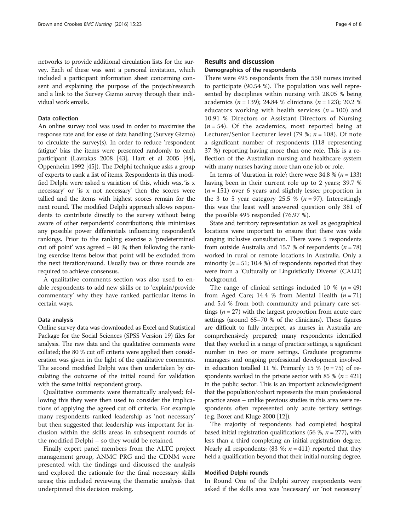networks to provide additional circulation lists for the survey. Each of these was sent a personal invitation, which included a participant information sheet concerning consent and explaining the purpose of the project/research and a link to the Survey Gizmo survey through their individual work emails.

#### Data collection

An online survey tool was used in order to maximise the response rate and for ease of data handling (Survey Gizmo) to circulate the survey(s). In order to reduce 'respondent fatigue' bias the items were presented randomly to each participant (Lavrakas 2008 [\[43\]](#page-7-0), Hart et al 2005 [\[44](#page-7-0)], Oppenheim 1992 [\[45\]](#page-7-0)). The Delphi technique asks a group of experts to rank a list of items. Respondents in this modified Delphi were asked a variation of this, which was, 'is x necessary' or 'is x not necessary' then the scores were tallied and the items with highest scores remain for the next round. The modified Delphi approach allows respondents to contribute directly to the survey without being aware of other respondents' contributions; this minimises any possible power differentials influencing respondent's rankings. Prior to the ranking exercise a 'predetermined cut off point' was agreed – 80 %; then following the ranking exercise items below that point will be excluded from the next iteration/round. Usually two or three rounds are required to achieve consensus.

A qualitative comments section was also used to enable respondents to add new skills or to 'explain/provide commentary' why they have ranked particular items in certain ways.

#### Data analysis

Online survey data was downloaded as Excel and Statistical Package for the Social Sciences (SPSS Version 19) files for analysis. The raw data and the qualitative comments were collated; the 80 % cut off criteria were applied then consideration was given in the light of the qualitative comments. The second modified Delphi was then undertaken by circulating the outcome of the initial round for validation with the same initial respondent group.

Qualitative comments were thematically analysed; following this they were then used to consider the implications of applying the agreed cut off criteria. For example many respondents ranked leadership as 'not necessary' but then suggested that leadership was important for inclusion within the skills areas in subsequent rounds of the modified Delphi – so they would be retained.

Finally expert panel members from the ALTC project management group, ANMC PRG and the CDNM were presented with the findings and discussed the analysis and explored the rationale for the final necessary skills areas; this included reviewing the thematic analysis that underpinned this decision making.

#### Results and discussion

#### Demographics of the respondents

There were 495 respondents from the 550 nurses invited to participate (90.54 %). The population was well represented by disciplines within nursing with 28.05 % being academics ( $n = 139$ ); 24.84 % clinicians ( $n = 123$ ); 20.2 % educators working with health services ( $n = 100$ ) and 10.91 % Directors or Assistant Directors of Nursing  $(n = 54)$ . Of the academics, most reported being at Lecturer/Senior Lecturer level (79 %;  $n = 108$ ). Of note a significant number of respondents (118 representing 37 %) reporting having more than one role. This is a reflection of the Australian nursing and healthcare system with many nurses having more than one job or role.

In terms of 'duration in role'; there were  $34.8 \%$  ( $n = 133$ ) having been in their current role up to 2 years; 39.7 %  $(n = 151)$  over 6 years and slightly lesser proportion in the 3 to 5 year category 25.5 %  $(n = 97)$ . Interestingly this was the least well answered question only 381 of the possible 495 responded (76.97 %).

State and territory representation as well as geographical locations were important to ensure that there was wide ranging inclusive consultation. There were 5 respondents from outside Australia and 15.7 % of respondents ( $n = 78$ ) worked in rural or remote locations in Australia. Only a minority ( $n = 51$ ; 10.4 %) of respondents reported that they were from a 'Culturally or Linguistically Diverse' (CALD) background.

The range of clinical settings included 10 %  $(n = 49)$ from Aged Care; 14.4 % from Mental Health  $(n = 71)$ and 5.4 % from both community and primary care settings ( $n = 27$ ) with the largest proportion from acute care settings (around 65–70 % of the clinicians). These figures are difficult to fully interpret, as nurses in Australia are comprehensively prepared; many respondents identified that they worked in a range of practice settings, a significant number in two or more settings. Graduate programme managers and ongoing professional development involved in education totalled 11 %. Primarily 15 % ( $n = 75$ ) of respondents worked in the private sector with 85 % ( $n = 421$ ) in the public sector. This is an important acknowledgment that the population/cohort represents the main professional practice areas – unlike previous studies in this area were respondents often represented only acute tertiary settings (e.g. Boxer and Kluge 2000 [\[12\]](#page-7-0)).

The majority of respondents had completed hospital based initial registration qualifications (56 %,  $n = 277$ ), with less than a third completing an initial registration degree. Nearly all respondents; (83 %;  $n = 411$ ) reported that they held a qualification beyond that their initial nursing degree.

#### Modified Delphi rounds

In Round One of the Delphi survey respondents were asked if the skills area was 'necessary' or 'not necessary'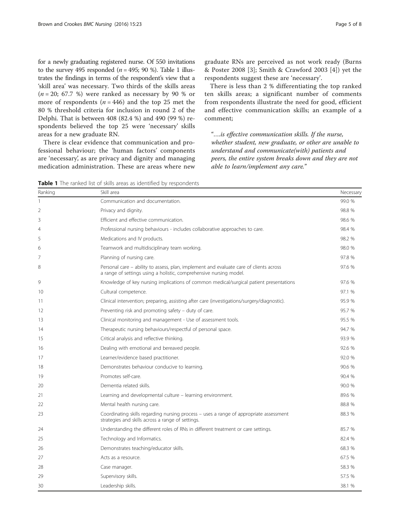for a newly graduating registered nurse. Of 550 invitations to the survey 495 responded ( $n = 495$ ; 90 %). Table 1 illustrates the findings in terms of the respondent's view that a 'skill area' was necessary. Two thirds of the skills areas  $(n = 20; 67.7 \%)$  were ranked as necessary by 90 % or more of respondents ( $n = 446$ ) and the top 25 met the 80 % threshold criteria for inclusion in round 2 of the Delphi. That is between 408 (82.4 %) and 490 (99 %) respondents believed the top 25 were 'necessary' skills areas for a new graduate RN.

There is clear evidence that communication and professional behaviour; the 'human factors' components are 'necessary', as are privacy and dignity and managing medication administration. These are areas where new graduate RNs are perceived as not work ready (Burns & Poster 2008 [[3](#page-6-0)]; Smith & Crawford 2003 [[4\]](#page-6-0)) yet the respondents suggest these are 'necessary'.

There is less than 2 % differentiating the top ranked ten skills areas; a significant number of comments from respondents illustrate the need for good, efficient and effective communication skills; an example of a comment;

"….is effective communication skills. If the nurse, whether student, new graduate, or other are unable to understand and communicate(with) patients and peers, the entire system breaks down and they are not able to learn/implement any care."

Table 1 The ranked list of skills areas as identified by respondents

| Ranking | Skill area                                                                                                                                                   | Necessary |
|---------|--------------------------------------------------------------------------------------------------------------------------------------------------------------|-----------|
| 1       | Communication and documentation.                                                                                                                             | 99.0 %    |
| 2       | Privacy and dignity.                                                                                                                                         | 98.8 %    |
| 3       | Efficient and effective communication.                                                                                                                       | 98.6 %    |
| 4       | Professional nursing behaviours - includes collaborative approaches to care.                                                                                 | 98.4 %    |
| 5       | Medications and IV products.                                                                                                                                 | 98.2 %    |
| 6       | Teamwork and multidisciplinary team working.                                                                                                                 | 98.0 %    |
| 7       | Planning of nursing care.                                                                                                                                    | 97.8 %    |
| 8       | Personal care - ability to assess, plan, implement and evaluate care of clients across<br>a range of settings using a holistic, comprehensive nursing model. | 97.6 %    |
| 9       | Knowledge of key nursing implications of common medical/surgical patient presentations                                                                       | 97.6 %    |
| 10      | Cultural competence.                                                                                                                                         | 97.1 %    |
| 11      | Clinical intervention; preparing, assisting after care (investigations/surgery/diagnostic).                                                                  | 95.9 %    |
| 12      | Preventing risk and promoting safety – duty of care.                                                                                                         | 95.7 %    |
| 13      | Clinical monitoring and management - Use of assessment tools.                                                                                                | 95.5 %    |
| 14      | Therapeutic nursing behaviours/respectful of personal space.                                                                                                 | 94.7 %    |
| 15      | Critical analysis and reflective thinking.                                                                                                                   | 93.9 %    |
| 16      | Dealing with emotional and bereaved people.                                                                                                                  | 92.6 %    |
| 17      | Learner/evidence based practitioner.                                                                                                                         | 92.0 %    |
| 18      | Demonstrates behaviour conducive to learning.                                                                                                                | 90.6 %    |
| 19      | Promotes self-care.                                                                                                                                          | 90.4 %    |
| 20      | Dementia related skills.                                                                                                                                     | 90.0 %    |
| 21      | Learning and developmental culture - learning environment.                                                                                                   | 89.6 %    |
| 22      | Mental health nursing care.                                                                                                                                  | 88.8 %    |
| 23      | Coordinating skills regarding nursing process - uses a range of appropriate assessment<br>strategies and skills across a range of settings.                  | 88.3 %    |
| 24      | Understanding the different roles of RNs in different treatment or care settings.                                                                            | 85.7 %    |
| 25      | Technology and Informatics.                                                                                                                                  | 82.4 %    |
| 26      | Demonstrates teaching/educator skills.                                                                                                                       | 68.3 %    |
| 27      | Acts as a resource.                                                                                                                                          | 67.5 %    |
| 28      | Case manager.                                                                                                                                                | 58.3 %    |
| 29      | Supervisory skills.                                                                                                                                          | 57.5 %    |
| 30      | Leadership skills.                                                                                                                                           | 38.1 %    |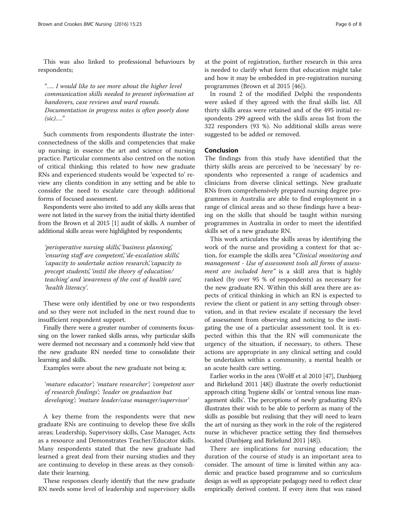This was also linked to professional behaviours by respondents;

"…. I would like to see more about the higher level communication skills needed to present information at handovers, case reviews and ward rounds. Documentation in progress notes is often poorly done  $(sic)$ …."

Such comments from respondents illustrate the interconnectedness of the skills and competencies that make up nursing; in essence the art and science of nursing practice. Particular comments also centred on the notion of critical thinking; this related to how new graduate RNs and experienced students would be 'expected to' review any clients condition in any setting and be able to consider the need to escalate care through additional forms of focused assessment.

Respondents were also invited to add any skills areas that were not listed in the survey from the initial thirty identified from the Brown et al 2015 [\[1](#page-6-0)] audit of skills. A number of additional skills areas were highlighted by respondents;

'perioperative nursing skills', 'business planning', 'ensuring staff are competent', 'de-escalation skills', 'capacity to undertake action research', 'capacity to precept students', 'instil the theory of education/ teaching' and 'awareness of the cost of health care', 'health literacy'.

These were only identified by one or two respondents and so they were not included in the next round due to insufficient respondent support.

Finally there were a greater number of comments focussing on the lower ranked skills areas, why particular skills were deemed not necessary and a commonly held view that the new graduate RN needed time to consolidate their learning and skills.

Examples were about the new graduate not being a;

'mature educator'; 'mature researcher'; 'competent user of research findings'; 'leader on graduation but developing'; 'mature leader/case manager/supervisor'

A key theme from the respondents were that new graduate RNs are continuing to develop these five skills areas; Leadership, Supervisory skills, Case Manager, Acts as a resource and Demonstrates Teacher/Educator skills. Many respondents stated that the new graduate had learned a great deal from their nursing studies and they are continuing to develop in these areas as they consolidate their learning.

These responses clearly identify that the new graduate RN needs some level of leadership and supervisory skills at the point of registration, further research in this area is needed to clarify what form that education might take and how it may be embedded in pre-registration nursing programmes (Brown et al 2015 [\[46\]](#page-7-0)).

In round 2 of the modified Delphi the respondents were asked if they agreed with the final skills list. All thirty skills areas were retained and of the 495 initial respondents 299 agreed with the skills areas list from the 322 responders (93 %). No additional skills areas were suggested to be added or removed.

#### Conclusion

The findings from this study have identified that the thirty skills areas are perceived to be 'necessary' by respondents who represented a range of academics and clinicians from diverse clinical settings. New graduate RNs from comprehensively prepared nursing degree programmes in Australia are able to find employment in a range of clinical areas and so these findings have a bearing on the skills that should be taught within nursing programmes in Australia in order to meet the identified skills set of a new graduate RN.

This work articulates the skills areas by identifying the work of the nurse and providing a context for that action, for example the skills area "Clinical monitoring and management - Use of assessment tools all forms of assessment are included here" is a skill area that is highly ranked (by over 95 % of respondents) as necessary for the new graduate RN. Within this skill area there are aspects of critical thinking in which an RN is expected to review the client or patient in any setting through observation, and in that review escalate if necessary the level of assessment from observing and noticing to the instigating the use of a particular assessment tool. It is expected within this that the RN will communicate the urgency of the situation, if necessary, to others. These actions are appropriate in any clinical setting and could be undertaken within a community, a mental health or an acute health care setting.

Earlier works in the area (Wolff et al 2010 [\[47\]](#page-7-0), Danbjørg and Birkelund 2011 [\[48](#page-7-0)]) illustrate the overly reductionist approach citing 'hygiene skills' or 'central venous line management skills'. The perceptions of newly graduating RN's illustrates their wish to be able to perform as many of the skills as possible but realising that they will need to learn the art of nursing as they work in the role of the registered nurse in whichever practice setting they find themselves located (Danbjørg and Birkelund 2011 [\[48\]](#page-7-0)).

There are implications for nursing education; the duration of the course of study is an important area to consider. The amount of time is limited within any academic and practice based programme and so curriculum design as well as appropriate pedagogy need to reflect clear empirically derived content. If every item that was raised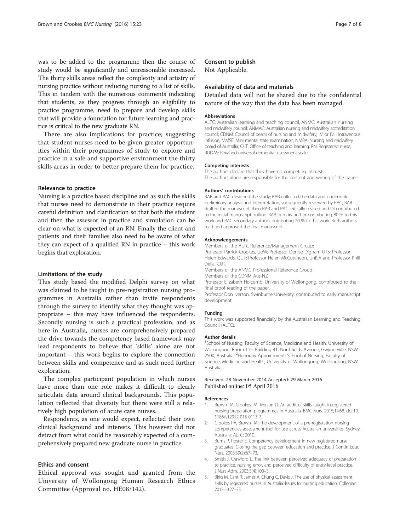<span id="page-6-0"></span>was to be added to the programme then the course of study would be significantly and unreasonable increased. The thirty skills areas reflect the complexity and artistry of nursing practice without reducing nursing to a list of skills. This in tandem with the numerous comments indicating that students, as they progress through an eligibility to practice programme, need to prepare and develop skills that will provide a foundation for future learning and practice is critical to the new graduate RN.

There are also implications for practice; suggesting that student nurses need to be given greater opportunities within their programmes of study to explore and practice in a safe and supportive environment the thirty skills areas in order to better prepare them for practice.

#### Relevance to practice

Nursing is a practice based discipline and as such the skills that nurses need to demonstrate in their practice require careful definition and clarification so that both the student and then the assessor in practice and simulation can be clear on what is expected of an RN. Finally the client and patients and their families also need to be aware of what they can expect of a qualified RN in practice – this work begins that exploration.

#### Limitations of the study

This study based the modified Delphi survey on what was claimed to be taught in pre-registration nursing programmes in Australia rather than invite respondents through the survey to identify what they thought was appropriate – this may have influenced the respondents. Secondly nursing is such a practical profession, and as here in Australia, nurses are comprehensively prepared the drive towards the competency based framework may lead respondents to believe that 'skills' alone are not important – this work begins to explore the connection between skills and competence and as such need further exploration.

The complex participant population in which nurses have more than one role makes it difficult to clearly articulate data around clinical backgrounds. This population reflected that diversity but there were still a relatively high population of acute care nurses.

Respondents, as one would expect, reflected their own clinical background and interests. This however did not detract from what could be reasonably expected of a comprehensively prepared new graduate nurse in practice.

#### Ethics and consent

Ethical approval was sought and granted from the University of Wollongong Human Research Ethics Committee (Approval no. HE08/142).

#### Consent to publish

Not Applicable.

#### Availability of data and materials

Detailed data will not be shared due to the confidential nature of the way that the data has been managed.

#### Abbreviations

ALTC: Australian learning and teaching council; ANMC: Australian nursing and midwifery council; ANMAC: Australian nursing and midwifery accreditation council; CDNM: Council of deans of nursing and midwifery; I.V. or I.V.I.: Intravenous infusion; MMSE: Mini mental state examination; NMBA: Nursing and midwifery board of Australia; OLT: Office of teaching and learning; RN: Registered nurse; RUDAS: Rowland universal dementia assessment scale.

#### Competing interests

The authors declare that they have no competing interests. The authors alone are responsible for the content and writing of the paper.

#### Authors' contributions

RAB and PAC designed the study; RAB collected the data and undertook preliminary analysis and interpretation, subsequently reviewed by PAC; RAB drafted the manuscript; then RAB and PAC critically revised and DI contributed to the initial manuscript outline. RAB primary author contributing 80 % to this work and PAC secondary author contributing 20 % to this work. Both authors read and approved the final manuscript.

#### Acknowledgements

Members of the ALTC Reference/Management Group: Professor Patrick Crookes, UoW; Professor Denise Dignam UTS; Professor Helen Edwards, QUT; Professor Helen McCutcheon, UniSA and Professor Phill Della, CUT. Members of the ANMC Professional Reference Group

Members of the CDNM Aus-NZ

Professor Elizabeth Holcomb, University of Wollongong; contributed to the final proof reading of the paper.

Professor Don Iverson, Swinburne University: contributed to early manuscript development

#### Funding

This work was supported financially by the Australian Learning and Teaching Council (ALTC).

#### Author details

<sup>1</sup>School of Nursing, Faculty of Science, Medicine and Health, University of Wollongong, Room 115, Building 41, Northfields Avenue, Gwynneville, NSW 2500, Australia. <sup>2</sup> Honorary Appointment: School of Nursing, Faculty of Science, Medicine and Health, University of Wollongong, Wollongong, NSW, Australia.

#### Received: 28 November 2014 Accepted: 29 March 2016 Published online: 05 April 2016

#### References

- 1. Brown RA, Crookes PA, Iverson D. An audit of skills taught in registered nursing preparation programmes in Australia. BMC Nurs. 2015;14:68. doi[:10.](http://dx.doi.org/10.1186/s12912-015-0113-7) [1186/s12912-015-0113-7](http://dx.doi.org/10.1186/s12912-015-0113-7).
- 2. Crookes PA, Brown RA. The development of a pre-registration nursing competencies assessment tool for use across Australian universities. Sydney, Australia: ALTC; 2010.
- 3. Burns P, Poster E. Competency development in new registered nurse graduates: Closing the gap between education and practice. J Contin Educ Nurs. 2008;39(2):67–73.
- 4. Smith J, Crawford L. The link between perceived adequacy of preparation to practice, nursing error, and perceived difficulty of entry-level practice. J Nurs Adm. 2003;5(4):100–3.
- 5. Birks M, Cant R, James A, Chung C, Davis J. The use of physical assessment skills by registered nurses in Australia: Issues for nursing education. Collegian. 2013;20:27–33.